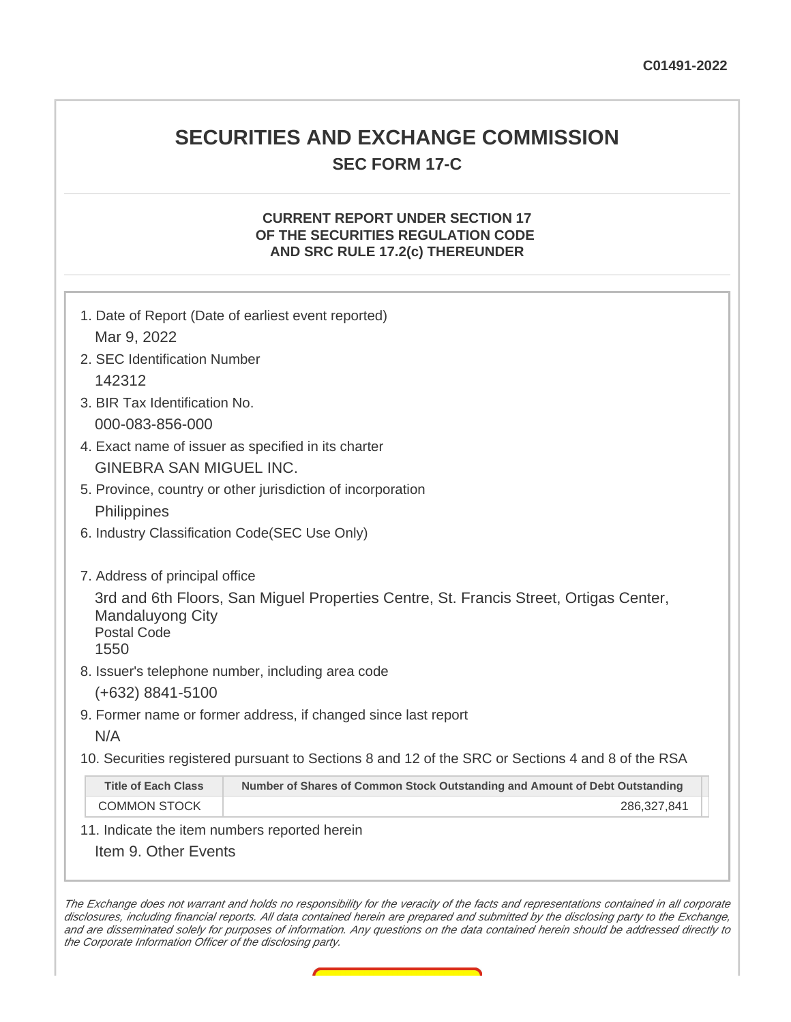## **SECURITIES AND EXCHANGE COMMISSION SEC FORM 17-C**

#### **CURRENT REPORT UNDER SECTION 17 OF THE SECURITIES REGULATION CODE AND SRC RULE 17.2(c) THEREUNDER**

| 1. Date of Report (Date of earliest event reported)                                                                                            |                                                                             |  |  |
|------------------------------------------------------------------------------------------------------------------------------------------------|-----------------------------------------------------------------------------|--|--|
| Mar 9, 2022                                                                                                                                    |                                                                             |  |  |
| 2. SEC Identification Number                                                                                                                   |                                                                             |  |  |
| 142312                                                                                                                                         |                                                                             |  |  |
| 3. BIR Tax Identification No.                                                                                                                  |                                                                             |  |  |
| 000-083-856-000                                                                                                                                |                                                                             |  |  |
| 4. Exact name of issuer as specified in its charter                                                                                            |                                                                             |  |  |
| <b>GINEBRA SAN MIGUEL INC.</b>                                                                                                                 |                                                                             |  |  |
| 5. Province, country or other jurisdiction of incorporation                                                                                    |                                                                             |  |  |
| Philippines                                                                                                                                    |                                                                             |  |  |
| 6. Industry Classification Code (SEC Use Only)                                                                                                 |                                                                             |  |  |
| 7. Address of principal office                                                                                                                 |                                                                             |  |  |
| 3rd and 6th Floors, San Miguel Properties Centre, St. Francis Street, Ortigas Center,<br><b>Mandaluyong City</b><br><b>Postal Code</b><br>1550 |                                                                             |  |  |
| 8. Issuer's telephone number, including area code                                                                                              |                                                                             |  |  |
| (+632) 8841-5100                                                                                                                               |                                                                             |  |  |
| 9. Former name or former address, if changed since last report                                                                                 |                                                                             |  |  |
| N/A                                                                                                                                            |                                                                             |  |  |
| 10. Securities registered pursuant to Sections 8 and 12 of the SRC or Sections 4 and 8 of the RSA                                              |                                                                             |  |  |
| <b>Title of Each Class</b>                                                                                                                     | Number of Shares of Common Stock Outstanding and Amount of Debt Outstanding |  |  |
| <b>COMMON STOCK</b>                                                                                                                            | 286,327,841                                                                 |  |  |
| 11. Indicate the item numbers reported herein                                                                                                  |                                                                             |  |  |
| Item 9. Other Events                                                                                                                           |                                                                             |  |  |

The Exchange does not warrant and holds no responsibility for the veracity of the facts and representations contained in all corporate disclosures, including financial reports. All data contained herein are prepared and submitted by the disclosing party to the Exchange, and are disseminated solely for purposes of information. Any questions on the data contained herein should be addressed directly to the Corporate Information Officer of the disclosing party.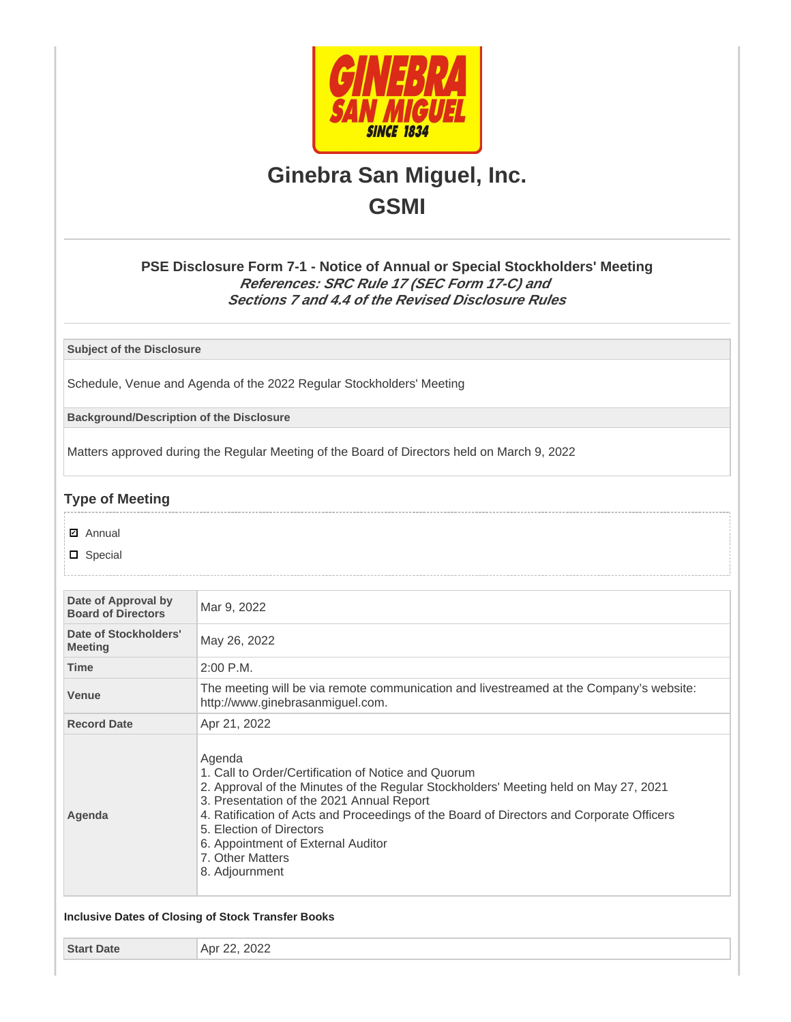

# **Ginebra San Miguel, Inc. GSMI**

## **PSE Disclosure Form 7-1 - Notice of Annual or Special Stockholders' Meeting References: SRC Rule 17 (SEC Form 17-C) and Sections 7 and 4.4 of the Revised Disclosure Rules**

**Subject of the Disclosure**

Schedule, Venue and Agenda of the 2022 Regular Stockholders' Meeting

**Background/Description of the Disclosure**

Matters approved during the Regular Meeting of the Board of Directors held on March 9, 2022

## **Type of Meeting**

- **☑** Annual
- □ Special

| Date of Approval by<br><b>Board of Directors</b> | Mar 9, 2022                                                                                                                                                                                                                                                                                                                                                                                            |  |
|--------------------------------------------------|--------------------------------------------------------------------------------------------------------------------------------------------------------------------------------------------------------------------------------------------------------------------------------------------------------------------------------------------------------------------------------------------------------|--|
| Date of Stockholders'<br><b>Meeting</b>          | May 26, 2022                                                                                                                                                                                                                                                                                                                                                                                           |  |
| <b>Time</b>                                      | $2:00$ P.M.                                                                                                                                                                                                                                                                                                                                                                                            |  |
| <b>Venue</b>                                     | The meeting will be via remote communication and livestreamed at the Company's website:<br>http://www.ginebrasanmiguel.com.                                                                                                                                                                                                                                                                            |  |
| <b>Record Date</b>                               | Apr 21, 2022                                                                                                                                                                                                                                                                                                                                                                                           |  |
| Agenda                                           | Agenda<br>1. Call to Order/Certification of Notice and Quorum<br>2. Approval of the Minutes of the Regular Stockholders' Meeting held on May 27, 2021<br>3. Presentation of the 2021 Annual Report<br>4. Ratification of Acts and Proceedings of the Board of Directors and Corporate Officers<br>5. Election of Directors<br>6. Appointment of External Auditor<br>7. Other Matters<br>8. Adjournment |  |

**Inclusive Dates of Closing of Stock Transfer Books**

**Start Date Apr 22, 2022**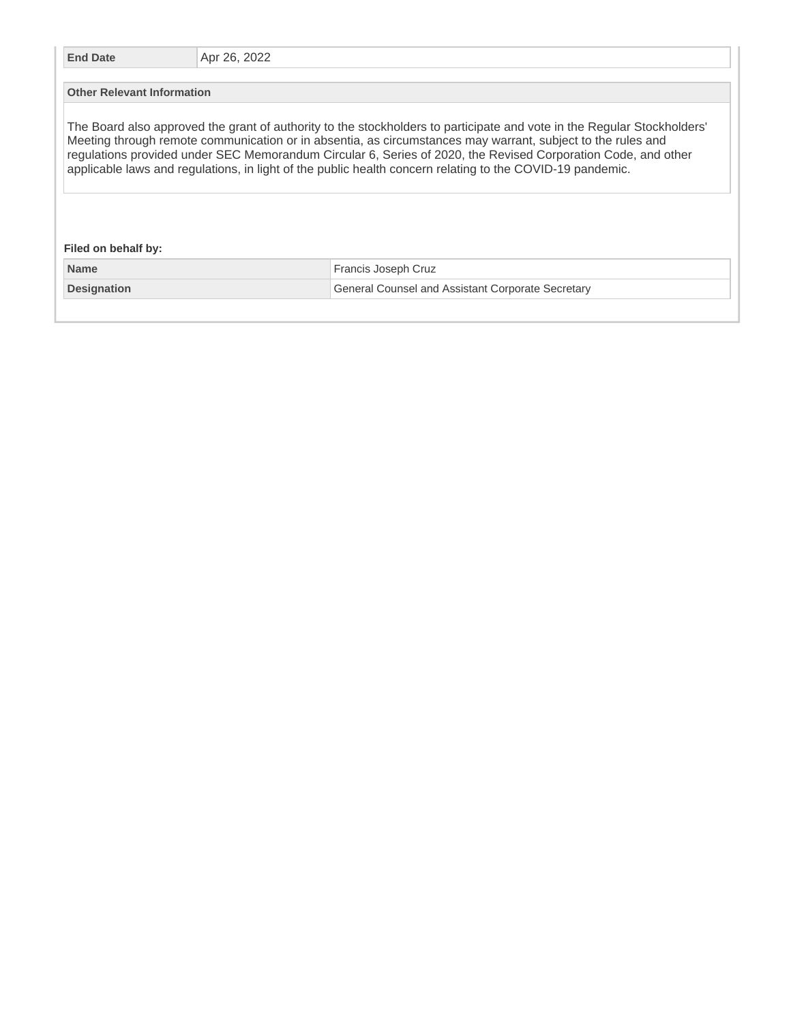| <b>End Date</b>                   | Apr 26, 2022 |                                                                                                                                                                                                                                                                                                                                                                                                                                                                      |
|-----------------------------------|--------------|----------------------------------------------------------------------------------------------------------------------------------------------------------------------------------------------------------------------------------------------------------------------------------------------------------------------------------------------------------------------------------------------------------------------------------------------------------------------|
| <b>Other Relevant Information</b> |              |                                                                                                                                                                                                                                                                                                                                                                                                                                                                      |
| Filed on behalf by:               |              | The Board also approved the grant of authority to the stockholders to participate and vote in the Regular Stockholders'<br>Meeting through remote communication or in absentia, as circumstances may warrant, subject to the rules and<br>regulations provided under SEC Memorandum Circular 6, Series of 2020, the Revised Corporation Code, and other<br>applicable laws and regulations, in light of the public health concern relating to the COVID-19 pandemic. |
| <b>Name</b>                       |              | Francis Joseph Cruz                                                                                                                                                                                                                                                                                                                                                                                                                                                  |
|                                   |              |                                                                                                                                                                                                                                                                                                                                                                                                                                                                      |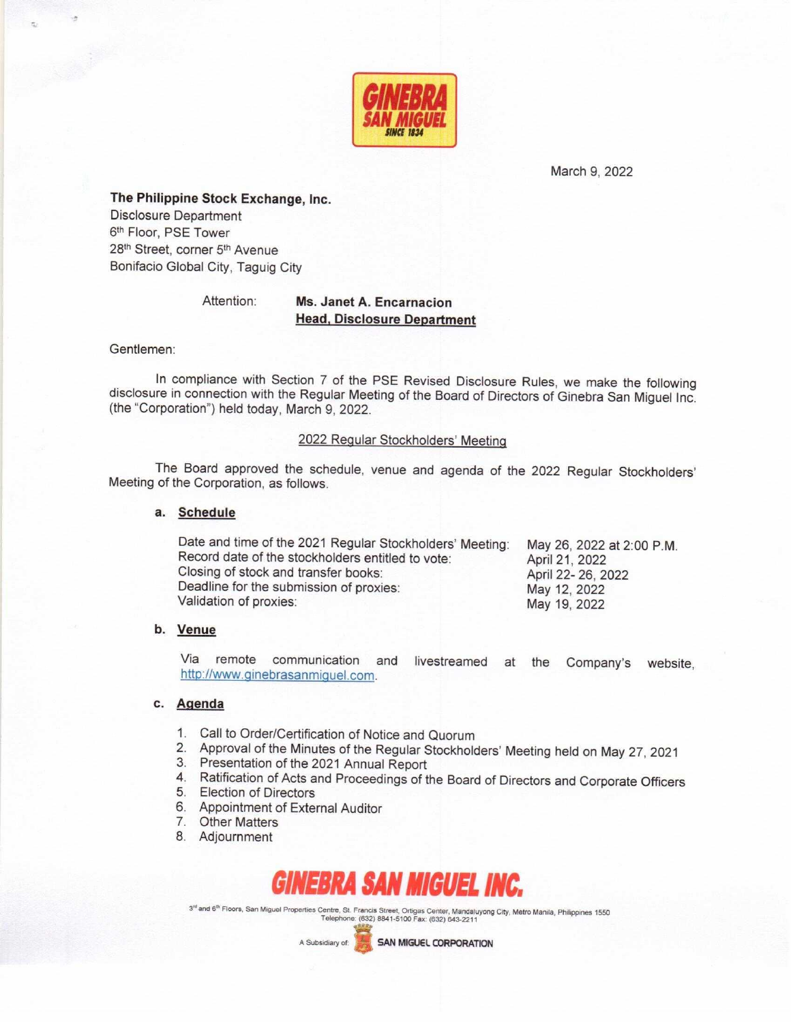

March 9, 2022

The Philippine Stock Exchange, Inc. **Disclosure Department** 6th Floor, PSE Tower 28th Street, corner 5th Avenue Bonifacio Global City, Taguig City

Attention:

## Ms. Janet A. Encarnacion **Head, Disclosure Department**

Gentlemen:

In compliance with Section 7 of the PSE Revised Disclosure Rules, we make the following disclosure in connection with the Regular Meeting of the Board of Directors of Ginebra San Miguel Inc. (the "Corporation") held today, March 9, 2022.

#### 2022 Regular Stockholders' Meeting

The Board approved the schedule, venue and agenda of the 2022 Regular Stockholders' Meeting of the Corporation, as follows.

a. Schedule

| Date and time of the 2021 Regular Stockholders' Meeting: | May 26, 2022 at 2:00 P.M. |
|----------------------------------------------------------|---------------------------|
| Record date of the stockholders entitled to vote:        | April 21, 2022            |
| Closing of stock and transfer books:                     | April 22- 26, 2022        |
| Deadline for the submission of proxies:                  | May 12, 2022              |
| Validation of proxies:                                   | May 19, 2022              |

#### b. Venue

Via remote communication and livestreamed at the Company's website, http://www.ginebrasanmiguel.com.

#### c. Agenda

- 1. Call to Order/Certification of Notice and Quorum
- 2. Approval of the Minutes of the Regular Stockholders' Meeting held on May 27, 2021
- 3. Presentation of the 2021 Annual Report
- 4. Ratification of Acts and Proceedings of the Board of Directors and Corporate Officers
- 5. Election of Directors
- 6. Appointment of External Auditor
- 7. Other Matters
- 8. Adjournment



3<sup>rd</sup> and 6<sup>th</sup> Floors, San Miguel Properties Centre, St. Francis Street, Ortigas Center, Mandaluyong City, Metro Manila, Philippines 1550<br>Telephone: (632) 8841-5100 Fax: (632) 843-2211



**SAN MIGUEL CORPORATION**